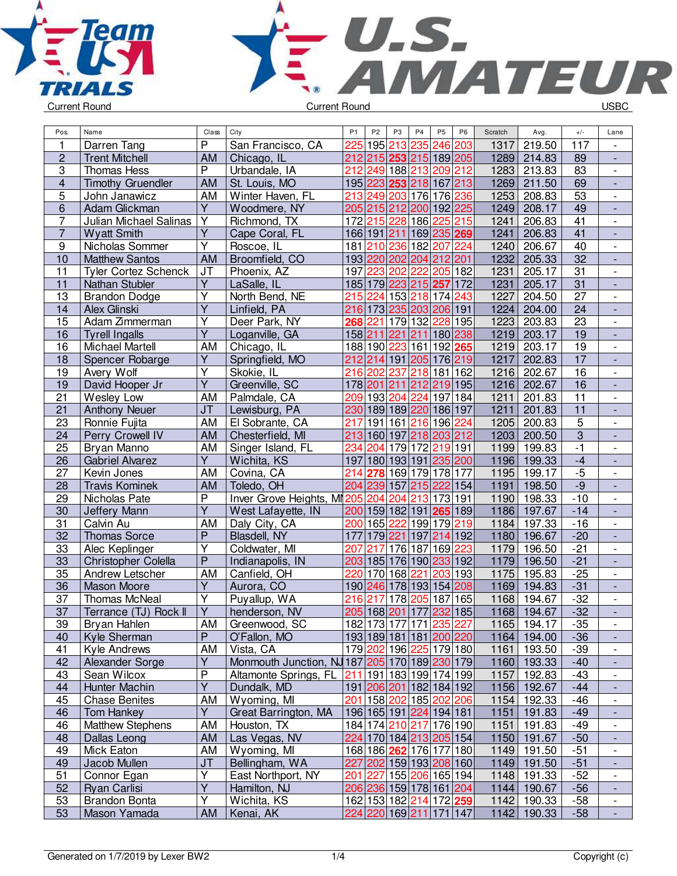



| Pos.                    | Name                                 | Class                   | City                                           | P1  | P <sub>2</sub> | P <sub>3</sub>          | P <sub>4</sub> | P <sub>5</sub>  | P <sub>6</sub>          | Scratch | Avg.        | $+/-$           | Lane                                                 |
|-------------------------|--------------------------------------|-------------------------|------------------------------------------------|-----|----------------|-------------------------|----------------|-----------------|-------------------------|---------|-------------|-----------------|------------------------------------------------------|
| 1                       | Darren Tang                          | P                       | San Francisco, CA                              | 225 |                | 195 213 235             |                | 246 203         |                         | 1317    | 219.50      | 117             |                                                      |
| $\overline{c}$          | <b>Trent Mitchell</b>                | AM                      | Chicago, IL                                    |     |                | 212 215 253 215 189 205 |                |                 |                         |         | 1289 214.83 | 89              | $\overline{a}$                                       |
| $\overline{3}$          | <b>Thomas Hess</b>                   | $\overline{P}$          | Urbandale, IA                                  | 212 |                | 249 188 213 209 212     |                |                 |                         | 1283    | 213.83      | 83              | $\blacksquare$                                       |
| $\overline{\mathbf{4}}$ | <b>Timothy Gruendler</b>             | AM                      | St. Louis, MO                                  |     |                | 195 223 253 218 167 213 |                |                 |                         | 1269    | 211.50      | 69              | ÷,                                                   |
| 5                       | John Janawicz                        | AM                      | Winter Haven, FL                               |     |                | 213 249 203 176 176 236 |                |                 |                         | 1253    | 208.83      | 53              | $\overline{\phantom{0}}$                             |
| 6                       | Adam Glickman                        | Y                       | Woodmere, NY                                   |     |                | 205 215 212 200 192 225 |                |                 |                         | 1249    | 208.17      | 49              | $\frac{1}{2}$                                        |
| 7                       | Julian Michael Salinas               | Υ                       | Richmond, TX                                   |     |                | 172 215 228 186 225 215 |                |                 |                         | 1241    | 206.83      | 41              | $\overline{a}$                                       |
| $\overline{7}$          | <b>Wyatt Smith</b>                   | $\overline{Y}$          | Cape Coral, FL                                 |     |                | 166 191 211 169 235 269 |                |                 |                         | 1241    | 206.83      | 41              |                                                      |
| $\overline{9}$          | Nicholas Sommer                      | $\overline{\mathsf{Y}}$ | Roscoe, IL                                     |     |                | 181 210 236 182 207 224 |                |                 |                         | 1240    | 206.67      | $\overline{40}$ | $\overline{\phantom{0}}$                             |
| 10                      | <b>Matthew Santos</b>                | <b>AM</b>               | Broomfield, CO                                 |     |                | 193 220 202 204 212 201 |                |                 |                         | 1232    | 205.33      | 32              | $\overline{\phantom{a}}$                             |
| 11                      | <b>Tyler Cortez Schenck</b>          | J <sub>T</sub>          | Phoenix, AZ                                    |     |                | 197 223 202 222         |                | 205 182         |                         | 1231    | 205.17      | 31              | $\overline{\phantom{a}}$                             |
| $\overline{11}$         | Nathan Stubler                       | $\overline{Y}$          | LaSalle, IL                                    |     |                | 185 179 223 215 257 172 |                |                 |                         | 1231    | 205.17      | 31              | $\Box$                                               |
| 13                      | <b>Brandon Dodge</b>                 | $\overline{Y}$          | North Bend, NE                                 |     |                | 215 224 153 218 174 243 |                |                 |                         | 1227    | 204.50      | 27              | $\overline{\phantom{a}}$                             |
| 14                      | Alex Glinski                         | $\overline{\mathsf{Y}}$ | Linfield, PA                                   |     |                | 216 173 235 203 206 191 |                |                 |                         | 1224    | 204.00      | 24              | $\overline{a}$                                       |
| 15                      | Adam Zimmerman                       | Υ                       | Deer Park, NY                                  |     | 268 221        |                         |                | 179 132 228 195 |                         | 1223    | 203.83      | 23              | $\overline{\phantom{0}}$                             |
| 16                      | <b>Tyrell Ingalls</b>                | Ÿ                       | Loganville, GA                                 |     |                | 158 211 221 211         |                |                 | 180 238                 | 1219    | 203.17      | 19              | $\overline{\phantom{a}}$                             |
| 16                      | <b>Michael Martell</b>               | AM                      | Chicago, IL                                    |     |                | 188 190 223 161 192 265 |                |                 |                         | 1219    | 203.17      | 19              | $\frac{1}{2}$                                        |
| 18                      | Spencer Robarge                      | $\overline{Y}$          | Springfield, MO                                |     |                | 212 214 191 205 176 219 |                |                 |                         | 1217    | 202.83      | 17              | $\overline{\phantom{a}}$                             |
| 19                      | Avery Wolf                           | Υ                       | Skokie, IL                                     |     |                | 216 202 237 218 181 162 |                |                 |                         | 1216    | 202.67      | 16              | $\frac{1}{2}$                                        |
| 19                      | David Hooper Jr                      | $\overline{\mathsf{Y}}$ | Greenville, SC                                 |     |                | 178 201 211 212 219 195 |                |                 |                         | 1216    | 202.67      | 16              | $\overline{a}$                                       |
| 21                      | Wesley Low                           | AM                      | Palmdale, CA                                   |     |                | 209 193 204 224 197 184 |                |                 |                         | 1211    | 201.83      | 11              | $\overline{\phantom{a}}$                             |
| 21                      | <b>Anthony Neuer</b>                 | J <sub>T</sub>          | Lewisburg, PA                                  |     |                | 230 189 189 220 186 197 |                |                 |                         | 1211    | 201.83      | $\overline{11}$ | $\blacksquare$                                       |
| 23                      | Ronnie Fujita                        | AM                      | El Sobrante, CA                                | 217 |                | 191 161 216 196 224     |                |                 |                         | 1205    | 200.83      | $\overline{5}$  | $\overline{a}$                                       |
| 24                      | Perry Crowell IV                     | AM                      | Chesterfield, MI                               |     |                | 213 160 197 218 203 212 |                |                 |                         | 1203    | 200.50      | $\overline{3}$  | $\overline{a}$                                       |
| $\overline{25}$         | Bryan Manno                          | AM                      | Singer Island, FL                              | 234 | 204            |                         |                | 179 172 219 191 |                         | 1199    | 199.83      | $-1$            | $\overline{\phantom{a}}$                             |
| 26                      |                                      | Ÿ                       | Wichita, KS                                    |     |                | 197 180 193 191 235 200 |                |                 |                         | 1196    | 199.33      | $-4$            |                                                      |
| 27                      | Gabriel Alvarez                      | AM                      |                                                |     |                | 278 169 179 178 177     |                |                 |                         | 1195    | 199.17      | $-5$            | $\overline{\phantom{a}}$                             |
| 28                      | Kevin Jones<br><b>Travis Kominek</b> | AM                      | Covina, CA<br>Toledo, OH                       | 214 |                | 204 239 157 215 222 154 |                |                 |                         | 1191    | 198.50      | $-9$            | $\overline{\phantom{0}}$<br>$\overline{\phantom{a}}$ |
|                         |                                      | $\overline{P}$          |                                                |     |                |                         |                |                 |                         |         |             | $-10$           |                                                      |
| 29                      | Nicholas Pate                        | $\overline{\mathsf{Y}}$ | Inver Grove Heights, MI205 204 204 213 173 191 |     |                |                         |                |                 |                         | 1190    | 198.33      | $-14$           | $\frac{1}{2}$                                        |
| 30                      | Jeffery Mann                         |                         | West Lafayette, IN                             |     |                | 200 159 182 191 265 189 |                |                 |                         | 1186    | 197.67      |                 | $\overline{a}$                                       |
| 31                      | Calvin Au                            | AM<br>$\overline{P}$    | Daly City, CA                                  |     |                | 200 165 222 199 179 219 |                |                 |                         | 1184    | 197.33      | $-16$           | $\overline{\phantom{a}}$                             |
| 32                      | <b>Thomas Sorce</b>                  | Y                       | Blasdell, NY                                   | 177 |                | 179 221 197 214 192     |                |                 |                         | 1180    | 196.67      | $-20$           | $\Box$                                               |
| 33                      | Alec Keplinger                       |                         | Coldwater, MI                                  | 207 | 217            | 176 187 169 223         |                |                 |                         | 1179    | 196.50      | $-21$           | $\Box$                                               |
| 33                      | Christopher Colella                  | $\mathsf{P}$            | Indianapolis, IN                               |     |                | 203 185 176 190 233 192 |                |                 |                         | 1179    | 196.50      | $-21$           | $\blacksquare$                                       |
| 35                      | Andrew Letscher                      | AM                      | Canfield, OH                                   |     |                | 220 170 168 221         |                |                 | 203 193                 | 1175    | 195.83      | $-25$           | $\overline{\phantom{a}}$                             |
| 36                      | Mason Moore                          | Y                       | Aurora, CO                                     |     |                | 190 246 178 193 154 208 |                |                 |                         | 1169    | 194.83      | $-31$           | $\overline{\phantom{a}}$                             |
| 37                      | Thomas McNeal                        | $\overline{Y}$          | Puyallup, WA                                   |     | 216 217        | 178 205 187 165         |                |                 |                         | 1168    | 194.67      | $-32$           | $\overline{\phantom{a}}$                             |
| 37                      | Terrance (TJ) Rock II                | $\overline{Y}$          | henderson, NV                                  |     |                | 205 168 201 177 232 185 |                |                 |                         |         | 1168 194.67 | $-32$           |                                                      |
| 39                      | Bryan Hahlen                         | <b>AM</b>               | Greenwood, SC                                  |     |                |                         |                |                 | 182 173 177 171 235 227 |         | 1165 194.17 | $-35$           | $\overline{\phantom{a}}$                             |
| 40                      | Kyle Sherman                         | P                       | O'Fallon, MO                                   |     |                | 193 189 181 181 200 220 |                |                 |                         |         | 1164 194.00 | $-36$           |                                                      |
| 41                      | <b>Kyle Andrews</b>                  | AM                      | Vista, CA                                      |     |                | 179 202 196 225 179 180 |                |                 |                         | 1161    | 193.50      | $-39$           |                                                      |
| 42                      | Alexander Sorge                      | Y                       | Monmouth Junction, NJ 187 205 170 189 230 179  |     |                |                         |                |                 |                         |         | 1160 193.33 | $-40$           | $\overline{\phantom{a}}$                             |
| 43                      | Sean Wilcox                          | P                       | Altamonte Springs, FL                          | 211 |                | 191 183 199 174 199     |                |                 |                         | 1157    | 192.83      | $-43$           | $\overline{\phantom{a}}$                             |
| 44                      | Hunter Machin                        | Y                       | Dundalk, MD                                    |     |                | 191 206 201 182 184 192 |                |                 |                         |         | 1156 192.67 | $-44$           | $\frac{1}{2}$                                        |
| 45                      | <b>Chase Benites</b>                 | AM                      | Wyoming, MI                                    | 201 |                | 158 202 185 202 206     |                |                 |                         | 1154    | 192.33      | $-46$           | $\overline{\phantom{0}}$                             |
| 46                      | <b>Tom Hankey</b>                    | Y                       | Great Barrington, MA                           |     |                | 196 165 191 224 194 181 |                |                 |                         | 1151    | 191.83      | $-49$           | $\overline{\phantom{0}}$                             |
| 46                      | <b>Matthew Stephens</b>              | AM                      | Houston, TX                                    |     |                | 184 174 210 217 176 190 |                |                 |                         | 1151    | 191.83      | $-49$           | $\overline{\phantom{0}}$                             |
| 48                      | Dallas Leong                         | AM                      | Las Vegas, NV                                  |     |                | 224 170 184 213 205 154 |                |                 |                         |         | 1150 191.67 | $-50$           | $\overline{\phantom{a}}$                             |
| 49                      | Mick Eaton                           | AM                      | Wyoming, MI                                    |     |                | 168 186 262 176 177 180 |                |                 |                         | 1149    | 191.50      | $-51$           | $\overline{\phantom{a}}$                             |
| 49                      | Jacob Mullen                         | <b>JT</b>               | Bellingham, WA                                 |     |                | 227 202 159 193 208 160 |                |                 |                         |         | 1149 191.50 | $-51$           |                                                      |
| 51                      | Connor Egan                          | Y                       | East Northport, NY                             | 201 |                | 227 155 206 165 194     |                |                 |                         | 1148    | 191.33      | $-52$           | $\overline{\phantom{0}}$                             |
| 52                      | Ryan Carlisi                         | $\overline{Y}$          | Hamilton, NJ                                   |     |                | 206 236 159 178 161 204 |                |                 |                         |         | 1144 190.67 | $-56$           | $\overline{\phantom{a}}$                             |
| 53                      | Brandon Bonta                        | Υ                       | Wichita, KS                                    |     |                | 162 153 182 214 172 259 |                |                 |                         |         | 1142 190.33 | $-58$           | $\overline{\phantom{a}}$                             |
| 53                      | Mason Yamada                         | <b>AM</b>               | Kenai, AK                                      |     |                | 224 220 169 211 171 147 |                |                 |                         |         | 1142 190.33 | $-58$           | $\blacksquare$                                       |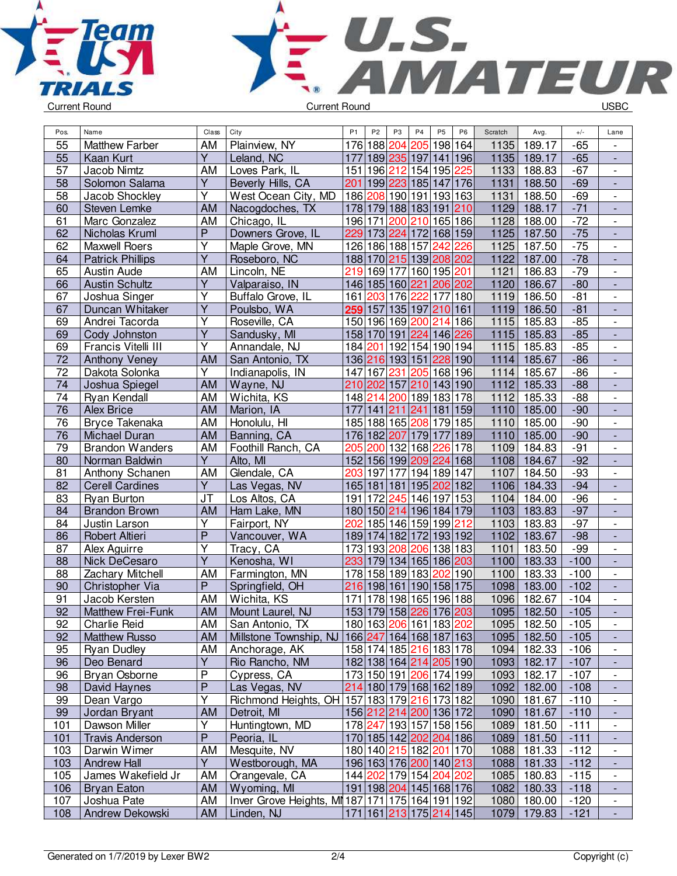



| Pos.            | Name                    | Class                   | City                                                     | P <sub>1</sub>    | P <sub>2</sub> | P <sub>3</sub>  | P4                                    | P <sub>5</sub>       | P <sub>6</sub> | Scratch | Avg.        | $+/-$  | Lane                         |
|-----------------|-------------------------|-------------------------|----------------------------------------------------------|-------------------|----------------|-----------------|---------------------------------------|----------------------|----------------|---------|-------------|--------|------------------------------|
| 55              | <b>Matthew Farber</b>   | AM                      | Plainview, NY                                            |                   |                | 176 188 204     | 205                                   | 198 164              |                | 1135    | 189.17      | $-65$  |                              |
| 55              | Kaan Kurt               | $\overline{Y}$          | Leland, NC                                               |                   |                |                 | 177 189 235 197 141 196               |                      |                | 1135    | 189.17      | $-65$  |                              |
| 57              | Jacob Nimtz             | AM                      | Loves Park, IL                                           |                   |                |                 | 151 196 212 154 195 225               |                      |                | 1133    | 188.83      | $-67$  | $\overline{\phantom{a}}$     |
| 58              | Solomon Salama          | $\overline{Y}$          | Beverly Hills, CA                                        | 201               |                |                 | 199 223 185 147 176                   |                      |                | 1131    | 188.50      | $-69$  | $\overline{a}$               |
| 58              | Jacob Shockley          | Y                       | West Ocean City, MD                                      |                   |                |                 | 186 208 190 191 193 163               |                      |                | 1131    | 188.50      | $-69$  | $\frac{1}{2}$                |
| 60              | Steven Lemke            | <b>AM</b>               | Nacogdoches, TX                                          |                   |                |                 | 178 179 188 183 191                   |                      | 210            | 1129    | 188.17      | $-71$  | $\qquad \qquad \blacksquare$ |
| 61              | Marc Gonzalez           | <b>AM</b>               | Chicago, IL                                              |                   | 196 171        | 200             | 210                                   | 165 186              |                | 1128    | 188.00      | $-72$  |                              |
| 62              | Nicholas Kruml          | $\overline{P}$          | Downers Grove, IL                                        |                   |                |                 | 229 173 224 172 168 159               |                      |                | 1125    | 187.50      | $-75$  | $\overline{\phantom{a}}$     |
| 62              | <b>Maxwell Roers</b>    | $\overline{Y}$          | Maple Grove, MN                                          |                   |                | 126 186 188 157 |                                       | 242                  | 226            | 1125    | 187.50      | $-75$  | $\overline{\phantom{0}}$     |
| 64              | <b>Patrick Phillips</b> | Y                       | Roseboro, NC                                             |                   |                |                 | 188 170 215 139 208 202               |                      |                | 1122    | 187.00      | $-78$  | $\frac{1}{2}$                |
| 65              | Austin Aude             | <b>AM</b>               | Lincoln, NE                                              |                   |                |                 | 219 169 177 160 195  <mark>201</mark> |                      |                | 1121    | 186.83      | $-79$  | $\overline{\phantom{a}}$     |
| 66              | <b>Austin Schultz</b>   | $\overline{\mathsf{Y}}$ | Valparaiso, IN                                           |                   |                |                 | 146 185 160 221 206 202               |                      |                | 1120    | 186.67      | $-80$  | $\Box$                       |
| 67              | Joshua Singer           | $\overline{Y}$          | Buffalo Grove, IL                                        |                   |                |                 | 161 203 176 222                       | 177 180              |                | 1119    | 186.50      | $-81$  | $\overline{\phantom{a}}$     |
| 67              | Duncan Whitaker         | $\overline{Y}$          | Poulsbo, WA                                              |                   | 259 157        |                 | 135 197 210 161                       |                      |                | 1119    | 186.50      | $-81$  | $\overline{a}$               |
| 69              | Andrei Tacorda          | Υ                       | Roseville, CA                                            |                   |                |                 | 150 196 169 200 214 186               |                      |                | 1115    | 185.83      | $-85$  | $\overline{\phantom{0}}$     |
| 69              | Cody Johnston           | Y                       | Sandusky, MI                                             |                   |                |                 | 158 170 191 224 146 226               |                      |                | 1115    | 185.83      | $-85$  | $\qquad \qquad \blacksquare$ |
| 69              | Francis Vitelli III     | Υ                       | Annandale, NJ                                            |                   |                |                 | 184 201 192 154 190 194               |                      |                | 1115    | 185.83      | $-85$  | $\overline{\phantom{a}}$     |
| $\overline{72}$ | Anthony Veney           | AM                      | San Antonio, TX                                          |                   |                |                 | 136 216 193 151 228 190               |                      |                | 1114    | 185.67      | $-86$  | $\qquad \qquad \blacksquare$ |
| 72              | Dakota Solonka          | $\overline{Y}$          | Indianapolis, IN                                         |                   |                | 147 167 231     |                                       | 205 168 196          |                | 1114    | 185.67      | $-86$  | $\overline{\phantom{0}}$     |
| 74              | Joshua Spiegel          | <b>AM</b>               | Wayne, NJ                                                |                   |                |                 | 210 202 157 210 143 190               |                      |                | 1112    | 185.33      | $-88$  | $\overline{\phantom{a}}$     |
| 74              | Ryan Kendall            | AM                      | Wichita, KS                                              |                   |                |                 | 148 214 200 189 183 178               |                      |                | 1112    | 185.33      | $-88$  | $\overline{\phantom{0}}$     |
| $\overline{76}$ | <b>Alex Brice</b>       | <b>AM</b>               | Marion, IA                                               |                   |                |                 | 177 141 211 241 181 159               |                      |                | 1110    | 185.00      | $-90$  |                              |
| 76              | Bryce Takenaka          | AM                      | Honolulu, HI                                             |                   |                |                 | 185 188 165 208 179 185               |                      |                | 1110    | 185.00      | $-90$  | $\overline{\phantom{a}}$     |
| 76              | Michael Duran           | AM                      | Banning, CA                                              |                   |                |                 | 176 182 207 179 177                   |                      | 189            | 1110    | 185.00      | $-90$  | $\overline{a}$               |
| 79              | <b>Brandon Wanders</b>  | AM                      | Foothill Ranch, CA                                       | 205               |                |                 | 200 132 168                           | $\overline{226}$ 178 |                | 1109    | 184.83      | $-91$  | $\overline{\phantom{0}}$     |
| 80              | Norman Baldwin          | Y                       | Alto, MI                                                 |                   |                |                 | 152 156 199 209 224                   |                      | 168            | 1108    | 184.67      | $-92$  | $\overline{a}$               |
| 81              | Anthony Schanen         | AM                      | Glendale, CA                                             | 203               | 197            | 177             | 194 189 147                           |                      |                | 1107    | 184.50      | $-93$  | $\overline{\phantom{0}}$     |
| 82              | <b>Cerell Cardines</b>  | $\overline{Y}$          | Las Vegas, NV                                            |                   |                |                 | 165 181 181 195 202 182               |                      |                | 1106    | 184.33      | $-94$  | $\overline{\phantom{a}}$     |
| 83              | <b>Ryan Burton</b>      | JT                      | Los Altos, CA                                            |                   | 191 172        |                 | 245 146 197 153                       |                      |                | 1104    | 184.00      | $-96$  | $\overline{\phantom{0}}$     |
| 84              | <b>Brandon Brown</b>    | <b>AM</b>               | Ham Lake, MN                                             |                   |                |                 | 180 150 214 196 184 179               |                      |                | 1103    | 183.83      | $-97$  | $\overline{\phantom{a}}$     |
| 84              | Justin Larson           | Ÿ                       | Fairport, NY                                             | 202               |                |                 | 185 146 159 199 212                   |                      |                | 1103    | 183.83      | $-97$  | $\frac{1}{2}$                |
| 86              | Robert Altieri          | $\overline{P}$          | Vancouver, WA                                            |                   |                |                 | 189 174 182 172 193 192               |                      |                | 1102    | 183.67      | $-98$  | $\Box$                       |
| 87              | Alex Aguirre            | $\overline{\mathsf{Y}}$ | Tracy, CA                                                |                   |                |                 | 173 193 208 206 138 183               |                      |                | 1101    | 183.50      | $-99$  | $\blacksquare$               |
| 88              | Nick DeCesaro           | Y                       | Kenosha, WI                                              |                   |                |                 | 233 179 134 165 186 203               |                      |                | 1100    | 183.33      | $-100$ | ÷,                           |
| 88              | Zachary Mitchell        | <b>AM</b>               | Farmington, MN                                           | $\overline{1}$ 78 |                |                 | 158 189 183                           | 202 190              |                | 1100    | 183.33      | $-100$ | $\overline{\phantom{a}}$     |
| 90              | Christopher Via         | $\mathsf{P}$            | Springfield, OH                                          | 216               |                |                 | 198 161 190 158 175                   |                      |                | 1098    | 183.00      | $-102$ | $\overline{\phantom{a}}$     |
| 91              | Jacob Kersten           | AM                      | Wichita, KS                                              | 171               |                |                 | 178 198 165 196 188                   |                      |                | 1096    | 182.67      | $-104$ |                              |
| 92              | Matthew Frei-Funk       | AM                      | Mount Laurel, NJ                                         |                   |                |                 | 153 179 158 226 176 203               |                      |                | 1095    | 182.50      | $-105$ |                              |
| 92              | Charlie Reid            | <b>AM</b>               | San Antonio, TX                                          |                   |                |                 | 180 163 206 161 183 202               |                      |                |         | 1095 182.50 | $-105$ |                              |
| 92              | <b>Matthew Russo</b>    | <b>AM</b>               | Millstone Township, NJ                                   |                   |                |                 | 166 247 164 168 187 163               |                      |                | 1095    | 182.50      | $-105$ |                              |
| 95              | <b>Ryan Dudley</b>      | AM                      | Anchorage, AK                                            |                   |                |                 | 158 174 185 216 183 178               |                      |                | 1094    | 182.33      | $-106$ |                              |
| 96              | Deo Benard              | $\overline{Y}$          | Rio Rancho, NM                                           |                   |                |                 | 182 138 164 214 205 190               |                      |                | 1093    | 182.17      | $-107$ | $\overline{\phantom{a}}$     |
| 96              | Bryan Osborne           | P                       | Cypress, CA                                              |                   |                |                 | 173 150 191 206 174 199               |                      |                | 1093    | 182.17      | $-107$ | $\overline{\phantom{a}}$     |
| 98              | David Haynes            | $\mathsf{P}$            | Las Vegas, NV                                            |                   |                |                 | 214 180 179 168 162 189               |                      |                | 1092    | 182.00      | $-108$ | ÷,                           |
| 99              | Dean Vargo              | Υ                       | Richmond Heights, OH   157   183   179   216   173   182 |                   |                |                 |                                       |                      |                | 1090    | 181.67      | $-110$ | $\overline{\phantom{0}}$     |
| 99              | Jordan Bryant           | <b>AM</b>               | Detroit, MI                                              |                   |                |                 | 156 212 214 200 136 172               |                      |                | 1090    | 181.67      | $-110$ | $\overline{\phantom{a}}$     |
| 101             | Dawson Miller           | Υ                       | Huntingtown, MD                                          |                   |                |                 | 178 247 193 157 158 156               |                      |                | 1089    | 181.50      | $-111$ | $\overline{\phantom{0}}$     |
| 101             | <b>Travis Anderson</b>  | $\mathsf{P}$            | Peoria, IL                                               |                   |                |                 | 170 185 142 202 204 186               |                      |                | 1089    | 181.50      | $-111$ | $\overline{\phantom{m}}$     |
| 103             | Darwin Wimer            | AM                      | Mesquite, NV                                             |                   |                |                 | 180 140 215 182 201 170               |                      |                | 1088    | 181.33      | $-112$ | $\overline{\phantom{a}}$     |
| 103             | <b>Andrew Hall</b>      | Y.                      | Westborough, MA                                          |                   |                |                 | 196 163 176 200 140 213               |                      |                | 1088    | 181.33      | $-112$ | $\overline{\phantom{a}}$     |
| 105             | James Wakefield Jr      | AM                      | Orangevale, CA                                           |                   |                |                 | 144 202 179 154 204 202               |                      |                | 1085    | 180.83      | $-115$ | $\overline{\phantom{a}}$     |
| 106             | <b>Bryan Eaton</b>      | AM                      | Wyoming, MI                                              |                   |                |                 | 191 198 204 145 168 176               |                      |                | 1082    | 180.33      | $-118$ |                              |
| 107             | Joshua Pate             | AM                      | Inver Grove Heights, MI 187 171 175 164 191 192          |                   |                |                 |                                       |                      |                |         | 1080 180.00 | $-120$ | $\blacksquare$               |
| 108             | Andrew Dekowski         | AM                      | Linden, NJ                                               |                   |                |                 | 171 161 213 175 214 145               |                      |                |         | 1079 179.83 | $-121$ | $\overline{\phantom{a}}$     |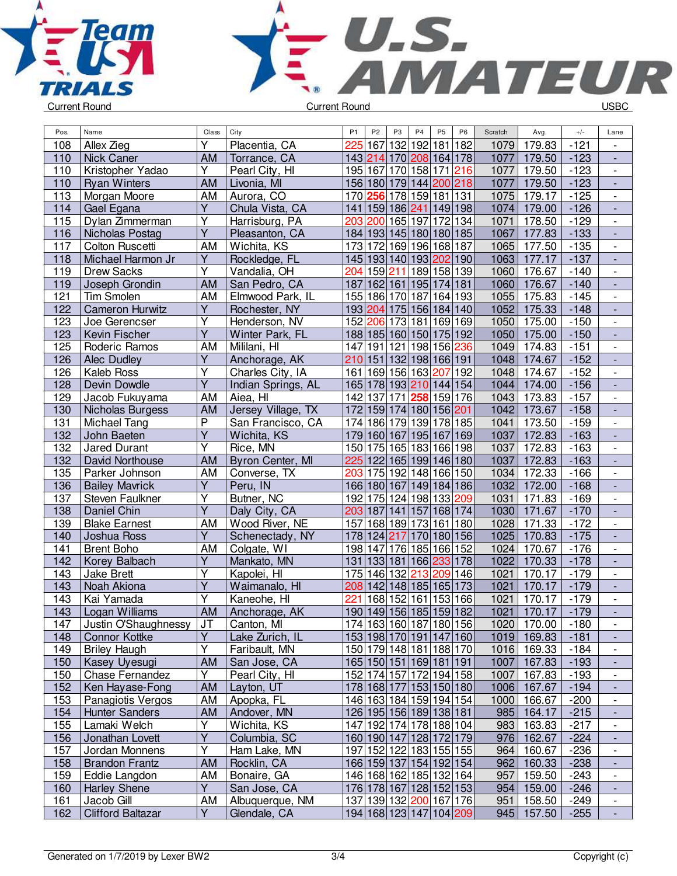



| Pos. | Name                     | Class                   | City               | P <sub>1</sub> | P <sub>2</sub>                    | P <sub>3</sub> | P <sub>4</sub>  | P <sub>5</sub> | P <sub>6</sub>          | Scratch | Avg.        | $+/-$  | Lane                         |
|------|--------------------------|-------------------------|--------------------|----------------|-----------------------------------|----------------|-----------------|----------------|-------------------------|---------|-------------|--------|------------------------------|
| 108  | Allex Zieg               | Υ                       | Placentia, CA      | 225            | 167                               |                | 132 192 181 182 |                |                         | 1079    | 179.83      | $-121$ | $\overline{\phantom{a}}$     |
| 110  | <b>Nick Caner</b>        | <b>AM</b>               | Torrance, CA       |                | 143 214                           |                |                 |                | 170 208 164 178         | 1077    | 179.50      | $-123$ | $\overline{\phantom{a}}$     |
| 110  | Kristopher Yadao         | Y                       | Pearl City, HI     |                | 195 167 170 158 171 216           |                |                 |                |                         | 1077    | 179.50      | $-123$ |                              |
| 110  | <b>Ryan Winters</b>      | <b>AM</b>               | Livonia, MI        |                | 156 180 179 144 200 218           |                |                 |                |                         | 1077    | 179.50      | $-123$ |                              |
| 113  | Morgan Moore             | AM                      | Aurora, CO         |                | 170 256 178 159 181 131           |                |                 |                |                         | 1075    | 179.17      | $-125$ |                              |
| 114  | Gael Egana               | $\overline{Y}$          | Chula Vista, CA    |                | 141   159   186   241   149   198 |                |                 |                |                         | 1074    | 179.00      | $-126$ |                              |
| 115  | Dylan Zimmerman          | Υ                       | Harrisburg, PA     |                | 203 200 165 197 172 134           |                |                 |                |                         | 1071    | 178.50      | $-129$ |                              |
| 116  | Nicholas Postag          | $\overline{Y}$          | Pleasanton, CA     |                | 184 193 145 180 180 185           |                |                 |                |                         | 1067    | 177.83      | $-133$ |                              |
| 117  | Colton Ruscetti          | AM                      | Wichita, KS        |                | 173 172 169 196 168 187           |                |                 |                |                         | 1065    | 177.50      | $-135$ |                              |
| 118  | Michael Harmon Jr        | Y                       | Rockledge, FL      |                | 145 193 140 193 202 190           |                |                 |                |                         |         | 1063 177.17 | $-137$ |                              |
| 119  | <b>Drew Sacks</b>        | $\overline{\mathsf{Y}}$ | Vandalia, OH       |                | 204 159 211 189 158 139           |                |                 |                |                         | 1060    | 176.67      | $-140$ | $\frac{1}{2}$                |
| 119  | Joseph Grondin           | <b>AM</b>               | San Pedro, CA      |                | 187 162 161 195 174 181           |                |                 |                |                         | 1060    | 176.67      | $-140$ | $\overline{\phantom{a}}$     |
| 121  | <b>Tim Smolen</b>        | <b>AM</b>               | Elmwood Park, IL   |                | 155 186 170 187                   |                |                 |                | 164 193                 | 1055    | 175.83      | $-145$ |                              |
| 122  | <b>Cameron Hurwitz</b>   | Υ                       | Rochester, NY      |                | 193 204 175 156 184 140           |                |                 |                |                         | 1052    | 175.33      | $-148$ |                              |
| 123  | Joe Gerencser            | Ý                       | Henderson, NV      |                | 152 206 173 181 169 169           |                |                 |                |                         | 1050    | 175.00      | $-150$ |                              |
| 123  | Kevin Fischer            | Y                       | Winter Park, FL    |                | 188 185 160 150 175 192           |                |                 |                |                         |         | 1050 175.00 | $-150$ |                              |
| 125  | Roderic Ramos            | AM                      | Mililani, HI       |                | 147 191 121 198 156 236           |                |                 |                |                         | 1049    | 174.83      | $-151$ |                              |
| 126  | Alec Dudley              | Υ                       | Anchorage, AK      |                | 210 151 132 198 166 191           |                |                 |                |                         |         | 1048 174.67 | $-152$ |                              |
| 126  | Kaleb Ross               | Υ                       | Charles City, IA   |                | 161 169 156 163 207 192           |                |                 |                |                         | 1048    | 174.67      | $-152$ |                              |
| 128  | Devin Dowdle             | $\overline{\mathsf{Y}}$ | Indian Springs, AL |                | 165 178 193 210 144 154           |                |                 |                |                         |         | 1044 174.00 | $-156$ | $\frac{1}{2}$                |
| 129  | Jacob Fukuyama           | AM                      | Aiea, HI           |                | 142 137 171 258 159 176           |                |                 |                |                         | 1043    | 173.83      | $-157$ | $\overline{\phantom{a}}$     |
| 130  | Nicholas Burgess         | <b>AM</b>               | Jersey Village, TX |                | 172 159 174 180 156 201           |                |                 |                |                         | 1042    | 173.67      | $-158$ | $\overline{\phantom{a}}$     |
| 131  | Michael Tang             | P                       | San Francisco, CA  |                | 174 186 179 139 178 185           |                |                 |                |                         | 1041    | 173.50      | $-159$ |                              |
| 132  | John Baeten              | $\overline{Y}$          | Wichita, KS        |                | 179 160 167 195 167 169           |                |                 |                |                         | 1037    | 172.83      | $-163$ |                              |
| 132  | <b>Jared Durant</b>      | $\overline{Y}$          | Rice, MN           |                | 150 175 165 183 166 198           |                |                 |                |                         | 1037    | 172.83      | $-163$ |                              |
| 132  | David Northouse          | <b>AM</b>               | Byron Center, MI   |                | 225 122 165 199 146 180           |                |                 |                |                         | 1037    | 172.83      | $-163$ |                              |
| 135  | Parker Johnson           | AM                      | Converse, TX       |                | 203 175 192 148 166 150           |                |                 |                |                         | 1034    | 172.33      | $-166$ |                              |
| 136  | <b>Bailey Mavrick</b>    | $\overline{Y}$          | Peru, IN           |                | 166 180 167 149 184 186           |                |                 |                |                         | 1032    | 172.00      | $-168$ |                              |
| 137  | Steven Faulkner          | Υ                       | Butner, NC         |                | 192 175 124 198 133 209           |                |                 |                |                         | 1031    | 171.83      | $-169$ |                              |
| 138  | Daniel Chin              | $\overline{\mathsf{Y}}$ | Daly City, CA      |                | 203 187 141 157 168 174           |                |                 |                |                         | 1030    | 171.67      | $-170$ | $\frac{1}{2}$                |
| 139  | <b>Blake Earnest</b>     | AM                      | Wood River, NE     |                | 157 168 189 173 161 180           |                |                 |                |                         | 1028    | 171.33      | $-172$ | $\frac{1}{2}$                |
| 140  | Joshua Ross              | Y                       | Schenectady, NY    |                | 178 124 217 170 180 156           |                |                 |                |                         | 1025    | 170.83      | $-175$ | $\overline{\phantom{a}}$     |
| 141  | <b>Brent Boho</b>        | AM                      | Colgate, WI        |                | 198 147 176 185 166 152           |                |                 |                |                         | 1024    | 170.67      | $-176$ |                              |
| 142  | Korey Balbach            | Υ                       | Mankato, MN        |                | 131 133 181 166 233 178           |                |                 |                |                         | 1022    | 170.33      | $-178$ |                              |
| 143  | <b>Jake Brett</b>        | Υ                       | Kapolei, HI        |                | 175 146 132 213 209 146           |                |                 |                |                         | 1021    | 170.17      | $-179$ |                              |
| 143  | Noah Akiona              | $\overline{\mathsf{Y}}$ | Waimanalo, HI      |                | 208 142 148 185 165 173           |                |                 |                |                         | 1021    | 170.17      | $-179$ | $\overline{\phantom{a}}$     |
| 143  | Kai Yamada               | $\overline{Y}$          | Kaneohe, HI        |                | 221 168 152 161 153 166           |                |                 |                |                         | 1021    | 170.17      | $-179$ |                              |
| 143  | Logan Williams           | <b>AM</b>               | Anchorage, AK      |                | 190 149 156 185 159 182           |                |                 |                |                         | 1021    | 170.17      | $-179$ |                              |
| 147  | Justin O'Shaughnessy JT  |                         | Canton, MI         |                | 174 163 160 187 180 156           |                |                 |                |                         |         | 1020 170.00 | $-180$ |                              |
| 148  | <b>Connor Kottke</b>     | Y                       | Lake Zurich, IL    |                | 153 198 170 191 147 160           |                |                 |                |                         |         | 1019 169.83 | $-181$ |                              |
| 149  | <b>Briley Haugh</b>      | Υ                       | Faribault, MN      |                | 150 179 148 181 188 170           |                |                 |                |                         |         | 1016 169.33 | $-184$ | $\overline{\phantom{0}}$     |
| 150  | Kasey Uyesugi            | <b>AM</b>               | San Jose, CA       |                | 165 150 151 169 181 191           |                |                 |                |                         |         | 1007 167.83 | $-193$ | $\overline{\phantom{a}}$     |
| 150  | Chase Fernandez          | Υ                       | Pearl City, HI     |                | 152 174 157 172 194 158           |                |                 |                |                         | 1007    | 167.83      | $-193$ | $\qquad \qquad -$            |
| 152  | Ken Hayase-Fong          | AM                      | Layton, UT         |                | 178 168 177 153 150 180           |                |                 |                |                         |         | 1006 167.67 | $-194$ | $\qquad \qquad \blacksquare$ |
| 153  | Panagiotis Vergos        | AM                      | Apopka, FL         |                | 146 163 184 159 194 154           |                |                 |                |                         | 1000    | 166.67      | $-200$ |                              |
| 154  | <b>Hunter Sanders</b>    | AM                      | Andover, MN        |                | 126 195 156 189 138 181           |                |                 |                |                         |         | 985 164.17  | $-215$ | -                            |
| 155  | Lamaki Welch             | Υ                       | Wichita, KS        |                | 147 192 174 178 188 104           |                |                 |                |                         |         | 983 163.83  | $-217$ | $\overline{\phantom{0}}$     |
| 156  | Jonathan Lovett          | $\overline{Y}$          | Columbia, SC       |                | 160 190 147 128 172 179           |                |                 |                |                         |         | 976 162.67  | $-224$ |                              |
| 157  | Jordan Monnens           | Υ                       | Ham Lake, MN       |                | 197 152 122 183 155 155           |                |                 |                |                         | 964     | 160.67      | $-236$ |                              |
| 158  | <b>Brandon Frantz</b>    | <b>AM</b>               | Rocklin, CA        |                | 166 159 137 154 192 154           |                |                 |                |                         |         | 962 160.33  | $-238$ | $\overline{\phantom{a}}$     |
| 159  | Eddie Langdon            | AM                      | Bonaire, GA        |                | 146 168 162 185 132 164           |                |                 |                |                         | 957     | 159.50      | $-243$ | $\overline{\phantom{0}}$     |
| 160  | <b>Harley Shene</b>      | Y.                      | San Jose, CA       |                | 176 178 167 128 152 153           |                |                 |                |                         |         | 954 159.00  | $-246$ | $\blacksquare$               |
| 161  | Jacob Gill               | AM                      | Albuquerque, NM    |                | 137 139 132 200 167 176           |                |                 |                |                         | 951     | 158.50      | -249   | $\qquad \qquad -$            |
| 162  | <b>Clifford Baltazar</b> | Y                       | Glendale, CA       |                |                                   |                |                 |                | 194 168 123 147 104 209 |         | 945 157.50  | $-255$ | $\overline{\phantom{a}}$     |